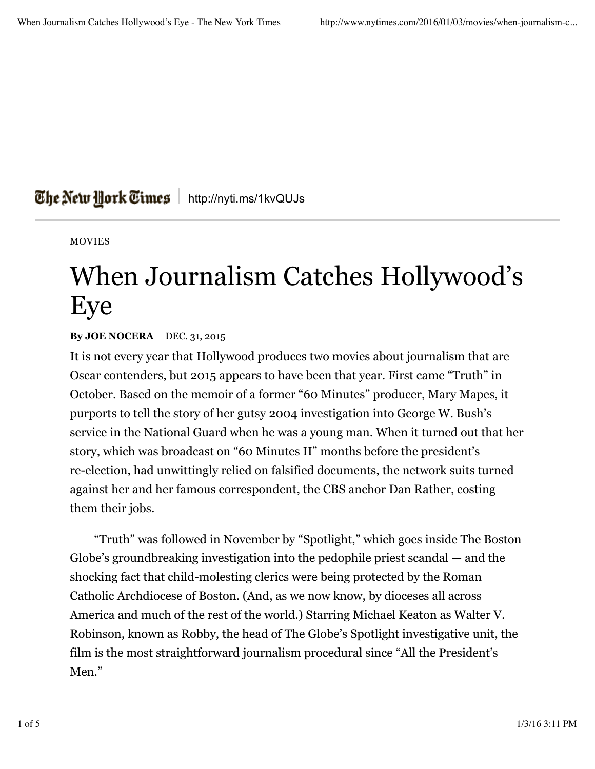# The Netu Hork Times | http://nyti.ms/1kvQUJs

#### MOVIES

# When Journalism Catches Hollywood's Eye

#### **By JOE NOCERA** DEC. 31, 2015

It is not every year that Hollywood produces two movies about journalism that are Oscar contenders, but 2015 appears to have been that year. First came "Truth" in October. Based on the memoir of a former "60 Minutes" producer, Mary Mapes, it purports to tell the story of her gutsy 2004 investigation into George W. Bush's service in the National Guard when he was a young man. When it turned out that her story, which was broadcast on "60 Minutes II" months before the president's re-election, had unwittingly relied on falsified documents, the network suits turned against her and her famous correspondent, the CBS anchor Dan Rather, costing them their jobs.

"Truth" was followed in November by "Spotlight," which goes inside The Boston Globe's groundbreaking investigation into the pedophile priest scandal — and the shocking fact that child-molesting clerics were being protected by the Roman Catholic Archdiocese of Boston. (And, as we now know, by dioceses all across America and much of the rest of the world.) Starring Michael Keaton as Walter V. Robinson, known as Robby, the head of The Globe's Spotlight investigative unit, the film is the most straightforward journalism procedural since "All the President's Men."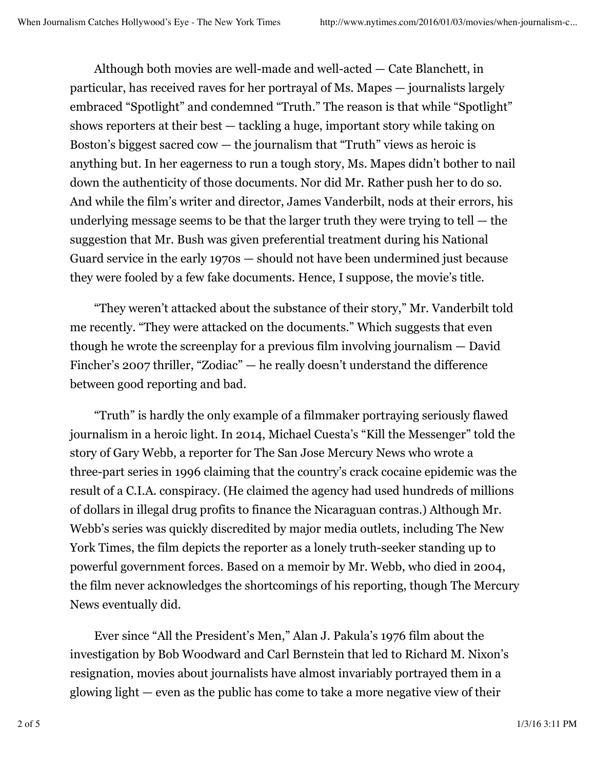Although both movies are well-made and well-acted — Cate Blanchett, in particular, has received raves for her portrayal of Ms. Mapes — journalists largely embraced "Spotlight" and condemned "Truth." The reason is that while "Spotlight" shows reporters at their best — tackling a huge, important story while taking on Boston's biggest sacred cow  $-$  the journalism that "Truth" views as heroic is anything but. In her eagerness to run a tough story, Ms. Mapes didn't bother to nail down the authenticity of those documents. Nor did Mr. Rather push her to do so. And while the film's writer and director, James Vanderbilt, nods at their errors, his underlying message seems to be that the larger truth they were trying to tell  $-$  the suggestion that Mr. Bush was given preferential treatment during his National Guard service in the early 1970s — should not have been undermined just because they were fooled by a few fake documents. Hence, I suppose, the movie's title.

"They weren't attacked about the substance of their story," Mr. Vanderbilt told me recently. "They were attacked on the documents." Which suggests that even though he wrote the screenplay for a previous film involving journalism — David Fincher's 2007 thriller, "Zodiac" — he really doesn't understand the difference between good reporting and bad.

"Truth" is hardly the only example of a filmmaker portraying seriously flawed journalism in a heroic light. In 2014, Michael Cuesta's "Kill the Messenger" told the story of Gary Webb, a reporter for The San Jose Mercury News who wrote a three-part series in 1996 claiming that the country's crack cocaine epidemic was the result of a C.I.A. conspiracy. (He claimed the agency had used hundreds of millions of dollars in illegal drug profits to finance the Nicaraguan contras.) Although Mr. Webb's series was quickly discredited by major media outlets, including The New York Times, the film depicts the reporter as a lonely truth-seeker standing up to powerful government forces. Based on a memoir by Mr. Webb, who died in 2004, the film never acknowledges the shortcomings of his reporting, though The Mercury News eventually did.

Ever since "All the President's Men," Alan J. Pakula's 1976 film about the investigation by Bob Woodward and Carl Bernstein that led to Richard M. Nixon's resignation, movies about journalists have almost invariably portrayed them in a glowing light — even as the public has come to take a more negative view of their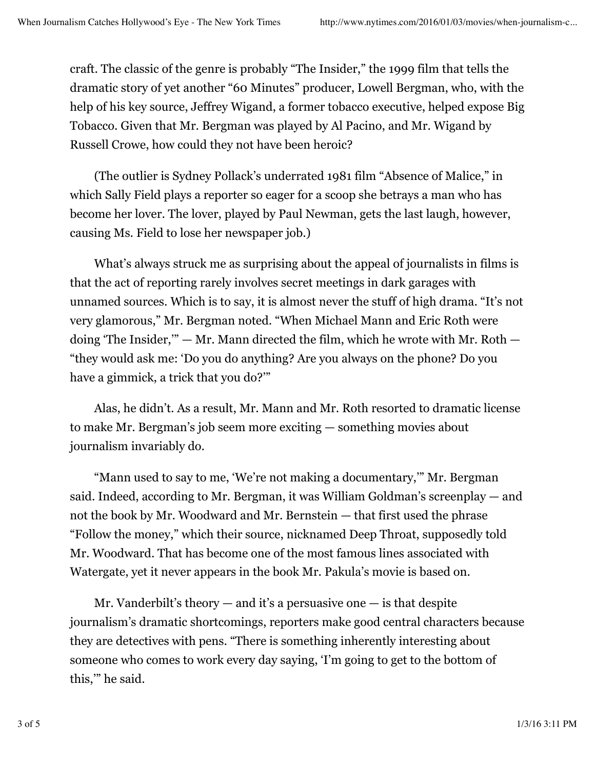craft. The classic of the genre is probably "The Insider," the 1999 film that tells the dramatic story of yet another "60 Minutes" producer, Lowell Bergman, who, with the help of his key source, Jeffrey Wigand, a former tobacco executive, helped expose Big Tobacco. Given that Mr. Bergman was played by Al Pacino, and Mr. Wigand by Russell Crowe, how could they not have been heroic?

(The outlier is Sydney Pollack's underrated 1981 film "Absence of Malice," in which Sally Field plays a reporter so eager for a scoop she betrays a man who has become her lover. The lover, played by Paul Newman, gets the last laugh, however, causing Ms. Field to lose her newspaper job.)

What's always struck me as surprising about the appeal of journalists in films is that the act of reporting rarely involves secret meetings in dark garages with unnamed sources. Which is to say, it is almost never the stuff of high drama. "It's not very glamorous," Mr. Bergman noted. "When Michael Mann and Eric Roth were doing 'The Insider,'" — Mr. Mann directed the film, which he wrote with Mr. Roth — "they would ask me: 'Do you do anything? Are you always on the phone? Do you have a gimmick, a trick that you do?'"

Alas, he didn't. As a result, Mr. Mann and Mr. Roth resorted to dramatic license to make Mr. Bergman's job seem more exciting — something movies about journalism invariably do.

"Mann used to say to me, 'We're not making a documentary,'" Mr. Bergman said. Indeed, according to Mr. Bergman, it was William Goldman's screenplay — and not the book by Mr. Woodward and Mr. Bernstein — that first used the phrase "Follow the money," which their source, nicknamed Deep Throat, supposedly told Mr. Woodward. That has become one of the most famous lines associated with Watergate, yet it never appears in the book Mr. Pakula's movie is based on.

Mr. Vanderbilt's theory  $-$  and it's a persuasive one  $-$  is that despite journalism's dramatic shortcomings, reporters make good central characters because they are detectives with pens. "There is something inherently interesting about someone who comes to work every day saying, 'I'm going to get to the bottom of this,'" he said.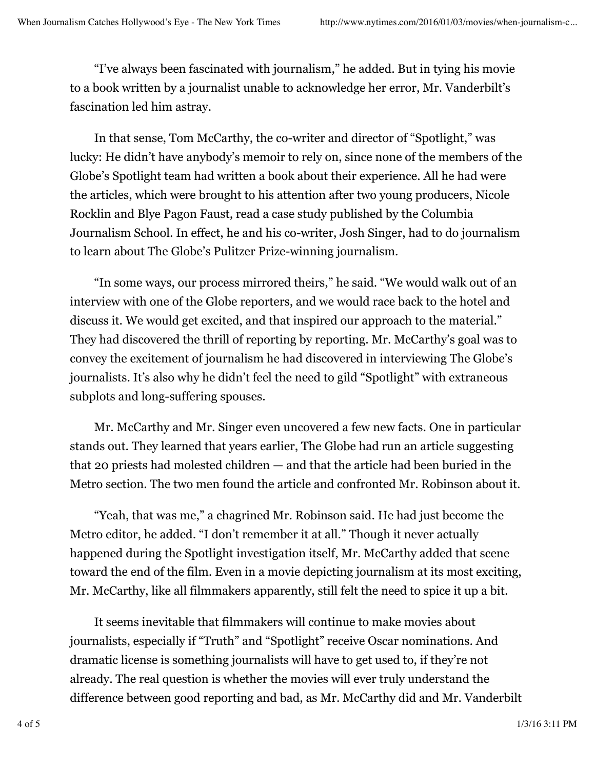"I've always been fascinated with journalism," he added. But in tying his movie to a book written by a journalist unable to acknowledge her error, Mr. Vanderbilt's fascination led him astray.

In that sense, Tom McCarthy, the co-writer and director of "Spotlight," was lucky: He didn't have anybody's memoir to rely on, since none of the members of the Globe's Spotlight team had written a book about their experience. All he had were the articles, which were brought to his attention after two young producers, Nicole Rocklin and Blye Pagon Faust, read a case study published by the Columbia Journalism School. In effect, he and his co-writer, Josh Singer, had to do journalism to learn about The Globe's Pulitzer Prize-winning journalism.

"In some ways, our process mirrored theirs," he said. "We would walk out of an interview with one of the Globe reporters, and we would race back to the hotel and discuss it. We would get excited, and that inspired our approach to the material." They had discovered the thrill of reporting by reporting. Mr. McCarthy's goal was to convey the excitement of journalism he had discovered in interviewing The Globe's journalists. It's also why he didn't feel the need to gild "Spotlight" with extraneous subplots and long-suffering spouses.

Mr. McCarthy and Mr. Singer even uncovered a few new facts. One in particular stands out. They learned that years earlier, The Globe had run an article suggesting that 20 priests had molested children — and that the article had been buried in the Metro section. The two men found the article and confronted Mr. Robinson about it.

"Yeah, that was me," a chagrined Mr. Robinson said. He had just become the Metro editor, he added. "I don't remember it at all." Though it never actually happened during the Spotlight investigation itself, Mr. McCarthy added that scene toward the end of the film. Even in a movie depicting journalism at its most exciting, Mr. McCarthy, like all filmmakers apparently, still felt the need to spice it up a bit.

It seems inevitable that filmmakers will continue to make movies about journalists, especially if "Truth" and "Spotlight" receive Oscar nominations. And dramatic license is something journalists will have to get used to, if they're not already. The real question is whether the movies will ever truly understand the difference between good reporting and bad, as Mr. McCarthy did and Mr. Vanderbilt